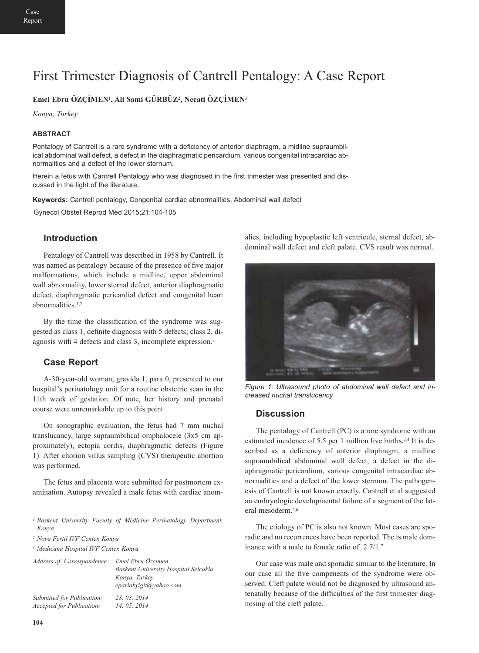# First Trimester Diagnosis of Cantrell Pentalogy: A Case Report

### **Emel Ebru ÖZÇİMEN1, Ali Sami GÜRBÜZ2, Necati ÖZÇİMEN**<sup>3</sup>

*Konya, Turkey*

#### **ABSTRACT**

Pentalogy of Cantrell is a rare syndrome with a deficiency of anterior diaphragm, a midline supraumbilical abdominal wall defect, a defect in the diaphragmatic pericardium, various congenital intracardiac abnormalities and a defect of the lower sternum.

Herein a fetus with Cantrell Pentalogy who was diagnosed in the first trimester was presented and discussed in the light of the literature.

**Keywords:** Cantrell pentalogy, Congenital cardiac abnormalities, Abdominal wall defect

Gynecol Obstet Reprod Med 2015;21:104-105

### **Introduction**

Pentalogy of Cantrell was described in 1958 by Cantrell. It was named as pentalogy because of the presence of five major malformations, which include a midline, upper abdominal wall abnormality, lower sternal defect, anterior diaphragmatic defect, diaphragmatic pericardial defect and congenital heart abnormalities.1,2

By the time the classification of the syndrome was suggested as class 1, definite diagnosis with 5 defects; class 2, diagnosis with 4 defects and class 3, incomplete expression.3

#### **Case Report**

A-30-year-old woman, gravida 1, para 0, presented to our hospital's perinatology unit for a routine obstetric scan in the 11th week of gestation. Of note, her history and prenatal course were unremarkable up to this point.

On sonographic evaluation, the fetus had 7 mm nuchal translucancy, large supraumbilical omphalocele (3x5 cm approximately), ectopia cordis, diaphragmatic defects (Figure 1). After chorion villus sampling (CVS) therapeutic abortion was performed.

The fetus and placenta were submitted for postmortem examination. Autopsy revealed a male fetus with cardiac anom-

*<sup>1</sup> Baskent University Faculty of Medicine Perinatology Department, Konya*

*<sup>3</sup> Medicana Hospital IVF Center, Konya*

| Address of Correspondence: Emel Ebru Özçimen | Baskent University Hospital Selcuklu<br>Konya, Turkey<br>eparlakyigit@yahoo.com |
|----------------------------------------------|---------------------------------------------------------------------------------|
| Submitted for Publication:                   | 28.03.2014                                                                      |
| <i>Accepted for Publication:</i>             | 14, 05, 2014                                                                    |

alies, including hypoplastic left ventricule, sternal defect, abdominal wall defect and cleft palate. CVS result was normal.



*Figure 1: Ultrasound photo of abdominal wall defect and increased nuchal translucency*

#### **Discussion**

The pentalogy of Cantrell (PC) is a rare syndrome with an estimated incidence of 5.5 per 1 million live births.<sup>2,4</sup> It is described as a deficiency of anterior diaphragm, a midline supraumbilical abdominal wall defect, a defect in the diaphragmatic pericardium, various congenital intracardiac abnormalities and a defect of the lower sternum. The pathogenesis of Cantrell is not known exactly. Cantrell et al suggested an embryologic developmental failure of a segment of the lateral mesoderm.5,6

The etiology of PC is also not known. Most cases are sporadic and no recurrences have been reported. The is male dominance with a male to female ratio of 2.7/1.7

Our case was male and sporadic similar to the literature. In our case all the five compenents of the syndrome were observed. Cleft palate would not be diagnosed by ultrasound antenatally because of the difficulties of the first trimester diagnosing of the cleft palate.

*<sup>2</sup> Nova Fertil IVF Center, Konya*